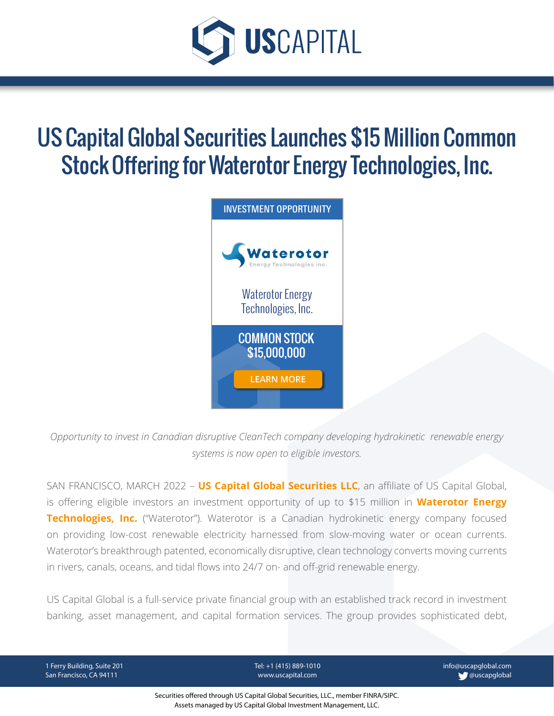

## US Capital Global Securities Launches \$15 Million Common Stock Offering for Waterotor Energy Technologies, Inc.



*Opportunity to invest in Canadian disruptive CleanTech company developing hydrokinetic renewable energy systems is now open to eligible investors.*

SAN FRANCISCO, MARCH 2022 – **[US Capital Global Securities LLC](https://www.uscapglobalsecurities.com/)**, an affiliate of US Capital Global, is offering eligible investors an investment opportunity of up to \$15 million in **[Waterotor Energy](https://waterotor.com/)  [Technologies, Inc.](https://waterotor.com/)** ("Waterotor"). Waterotor is a Canadian hydrokinetic energy company focused on providing low-cost renewable electricity harnessed from slow-moving water or ocean currents. Waterotor's breakthrough patented, economically disruptive, clean technology converts moving currents in rivers, canals, oceans, and tidal flows into 24/7 on- and off-grid renewable energy.

US Capital Global is a full-service private financial group with an established track record in investment banking, asset management, and capital formation services. The group provides sophisticated debt,

1 Ferry Building, Suite 201 San Francisco, CA 94111

Tel: +1 (415) 889-1010 www.uscapital.com

info@uscapglobal.com **@uscapglobal** 

Securities offered through US Capital Global Securities, LLC., member FINRA/SIPC. Assets managed by US Capital Global Investment Management, LLC.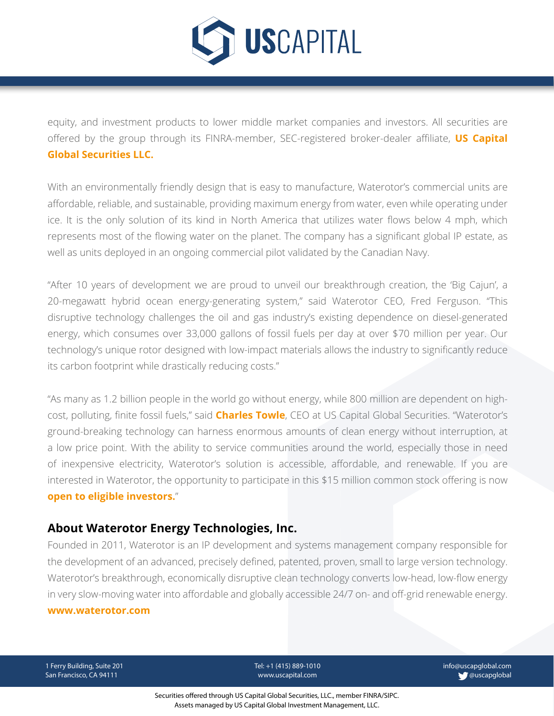

equity, and investment products to lower middle market companies and investors. All securities are [offered by the gro](https://uscapglobal.com/team_members.html#jeffrey_sweeney)up through its FINRA-member, SEC-registered broker-dealer affiliate, **[US Capital](https://www.uscapglobalsecurities.com/)  [Global Securities LLC.](https://www.uscapglobalsecurities.com/)**

With an environmentally friendly design that is easy to manufacture, Waterotor's commercial units are affordable, reliable, and sustainable, providing maximum energy from water, even while operating under ice. It is the only solution of its kind in North America that utilizes water flows below 4 mph, which represents most of the flowing water on the planet. The company has a significant global IP estate, as well as units deployed in an ongoing commercial pilot validated by the Canadian Navy.

"After 10 years of development we are proud to unveil our breakthrough creation, the 'Big Cajun', a 20-megawatt hybrid ocean energy-generating system," said Waterotor CEO, Fred Ferguson. "This disruptive technology challenges the oil and gas industry's existing dependence on diesel-generated energy, which consumes over 33,000 gallons of fossil fuels per day at over \$70 million per year. Our technology's unique rotor designed with low-impact materials allows the industry to significantly reduce its carbon footprint while drastically reducing costs."

"As many as 1.2 billion people in the world go without energy, while 800 million are dependent on highcost, polluting, finite fossil fuels," said **[Charles Towle](https://uscapglobal.com/team_members.html#charles_towle)**, CEO at US Capital Global Securities. "Waterotor's ground-breaking technology can harness enormous amounts of clean energy without interruption, at a low price point. With the ability to service communities around the world, especially those in need of inexpensive electricity, Waterotor's solution is accessible, affordable, and renewable. If you are interested in Waterotor, the opportunity to participate in this \$15 million common stock offering is now **[open to eligible investors.](https://www.uscapglobal.com/institutional-debt-and-equity-access.html)**"

## **About Waterotor Energy Technologies, Inc.**

Founded in 2011, Waterotor is an IP development and systems management company responsible for the development of an advanced, precisely defined, patented, proven, small to large version technology. Waterotor's breakthrough, economically disruptive clean technology converts low-head, low-flow energy in very slow-moving water into affordable and globally accessible 24/7 on- and off-grid renewable energy. **[www.waterotor.com](https://waterotor.com/)** 

1 Ferry Building, Suite 201 San Francisco, CA 94111

Tel: +1 (415) 889-1010 www.uscapital.com

info@uscapglobal.com **@uscapglobal**